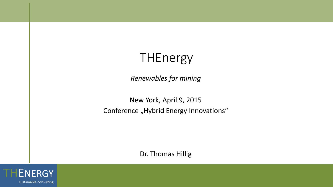# THEnergy

*Renewables for mining*

New York, April 9, 2015 Conference "Hybrid Energy Innovations"

Dr. Thomas Hillig

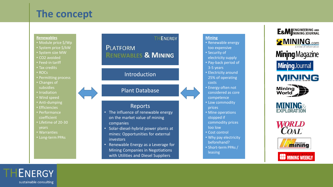# **The concept**

#### **Renewables**

- Module price \$/Wp
- System price \$/kW
- System size MW
- CO2 avoided
- Feed-in tariff
- Tax credits
- ROCs
- Permitting process
- Changes of subsidies
- Irradiation
- Wind speed
- Anti-dumping
- Efficiencies
- Performance coefficient
- Lifetime of 20-30 years
- Warranties
- Long-term PPAs

### THENERGY **PLATFORM RENEWABLES & MINING**

### Introduction

### Plant Database

### Reports

- The influence of renewable energy on the market value of mining companies
- Solar-diesel-hybrid power plants at mines: Opportunities for external investors
- Renewable Energy as a Leverage for Mining Companies in Negotiations with Utilities and Diesel Suppliers

#### **Mining**

- Renewable energy too expensive
- 
- Security of
- electricity supply
- Pay-back period of
- 3-5 years
- Electricity around 25% of operating
- costs
- Energy often not
- considered as core
- competence
- Low commodity prices
- Mine operations
- stopped if
- commodity prices
- too low
- Cost control
- Why pay electricity beforehand?
- Short-term PPAs / leasing













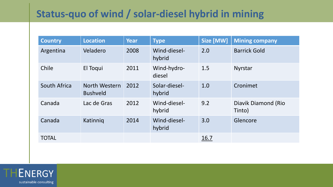# **Status-quo of wind / solar-diesel hybrid in mining**

| <b>Country</b> | <b>Location</b>                  | <b>Year</b> | <b>Type</b>             | Size [MW] | <b>Mining company</b>         |
|----------------|----------------------------------|-------------|-------------------------|-----------|-------------------------------|
| Argentina      | Veladero                         | 2008        | Wind-diesel-<br>hybrid  | 2.0       | <b>Barrick Gold</b>           |
| Chile          | El Toqui                         | 2011        | Wind-hydro-<br>diesel   | 1.5       | <b>Nyrstar</b>                |
| South Africa   | North Western<br><b>Bushveld</b> | 2012        | Solar-diesel-<br>hybrid | 1.0       | Cronimet                      |
| Canada         | Lac de Gras                      | 2012        | Wind-diesel-<br>hybrid  | 9.2       | Diavik Diamond (Rio<br>Tinto) |
| Canada         | Katinnig                         | 2014        | Wind-diesel-<br>hybrid  | 3.0       | Glencore                      |
| <b>TOTAL</b>   |                                  |             |                         | 16.7      |                               |

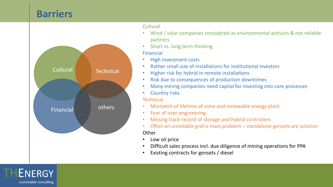## **Barriers**



#### **Cultural**

- Wind / solar companies considered as environmental activists & not reliable partners
- Short vs. long term thinking

### Financial

- High investment costs
- Rather small size of installations for institutional investors
- Higher risk for hybrid in remote installations
- Risk due to consequences of production downtimes
- Many mining companies need capital for investing into core processes
- **Country risks**

### **Technical**

- Mismatch of lifetime of mine and renewable energy plant
- Fear of over-engineering
- Missing track-record of storage and hybrid controllers
- Often an unreliable grid is main problem standalone gensets are solution **Other**
- Low oil price
- Difficult sales process incl. due diligence of mining operations for PPA
- Existing contracts for gensets / diesel